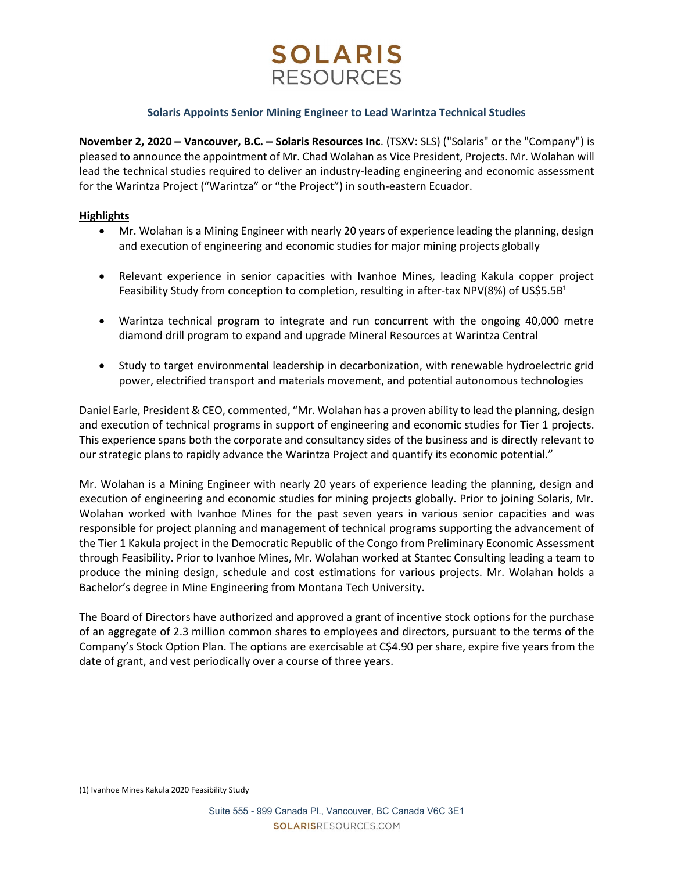# **SOLARIS RESOURCES**

## Solaris Appoints Senior Mining Engineer to Lead Warintza Technical Studies

November 2, 2020 – Vancouver, B.C. – Solaris Resources Inc. (TSXV: SLS) ("Solaris" or the "Company") is pleased to announce the appointment of Mr. Chad Wolahan as Vice President, Projects. Mr. Wolahan will lead the technical studies required to deliver an industry-leading engineering and economic assessment for the Warintza Project ("Warintza" or "the Project") in south-eastern Ecuador.

# **Highlights**

- Mr. Wolahan is a Mining Engineer with nearly 20 years of experience leading the planning, design and execution of engineering and economic studies for major mining projects globally
- Relevant experience in senior capacities with Ivanhoe Mines, leading Kakula copper project Feasibility Study from conception to completion, resulting in after-tax NPV(8%) of US\$5.5B<sup>1</sup>
- Warintza technical program to integrate and run concurrent with the ongoing 40,000 metre diamond drill program to expand and upgrade Mineral Resources at Warintza Central
- Study to target environmental leadership in decarbonization, with renewable hydroelectric grid power, electrified transport and materials movement, and potential autonomous technologies

Daniel Earle, President & CEO, commented, "Mr. Wolahan has a proven ability to lead the planning, design and execution of technical programs in support of engineering and economic studies for Tier 1 projects. This experience spans both the corporate and consultancy sides of the business and is directly relevant to our strategic plans to rapidly advance the Warintza Project and quantify its economic potential."

Mr. Wolahan is a Mining Engineer with nearly 20 years of experience leading the planning, design and execution of engineering and economic studies for mining projects globally. Prior to joining Solaris, Mr. Wolahan worked with Ivanhoe Mines for the past seven years in various senior capacities and was responsible for project planning and management of technical programs supporting the advancement of the Tier 1 Kakula project in the Democratic Republic of the Congo from Preliminary Economic Assessment through Feasibility. Prior to Ivanhoe Mines, Mr. Wolahan worked at Stantec Consulting leading a team to produce the mining design, schedule and cost estimations for various projects. Mr. Wolahan holds a Bachelor's degree in Mine Engineering from Montana Tech University.

The Board of Directors have authorized and approved a grant of incentive stock options for the purchase of an aggregate of 2.3 million common shares to employees and directors, pursuant to the terms of the Company's Stock Option Plan. The options are exercisable at C\$4.90 per share, expire five years from the date of grant, and vest periodically over a course of three years.